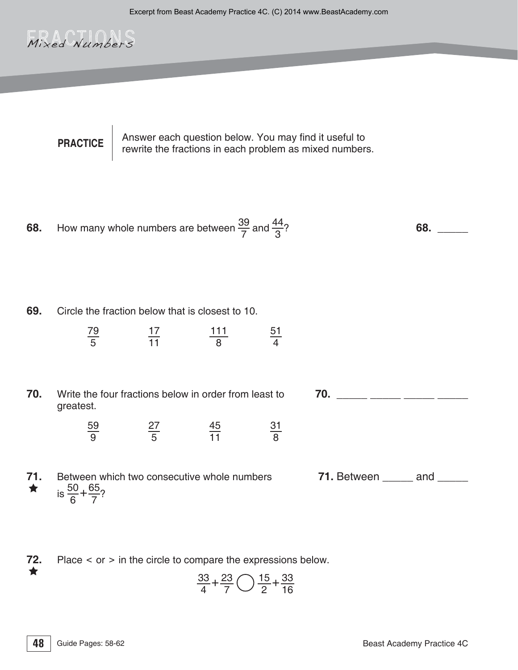## Mixed Numbers

**PRACTICE** Answer each question below. You may find it useful to rewrite the fractions in each problem as mixed numbers.

**68.** How many whole numbers are between 
$$
\frac{39}{7}
$$
 and  $\frac{44}{3}$ ? **68.** \_\_\_\_\_\_\_

**69.** Circle the fraction below that is closest to 10.

79 5 17 11 111 8 51 4

## **70.** Write the four fractions below in order from least to greatest.

59 9 27 5 45 11 31 8

**70.** \_\_\_\_\_\_ \_\_\_\_\_ \_\_\_\_\_ \_\_\_\_\_

**71.** Between which two consecutive whole numbers  $\star$  is  $\frac{50}{6} + \frac{65}{7}$ ?

**71.** Between and

**72.** Place < or > in the circle to compare the expressions below.

$$
\frac{33}{4} + \frac{23}{7} \bigcirc \frac{15}{2} + \frac{33}{16}
$$

★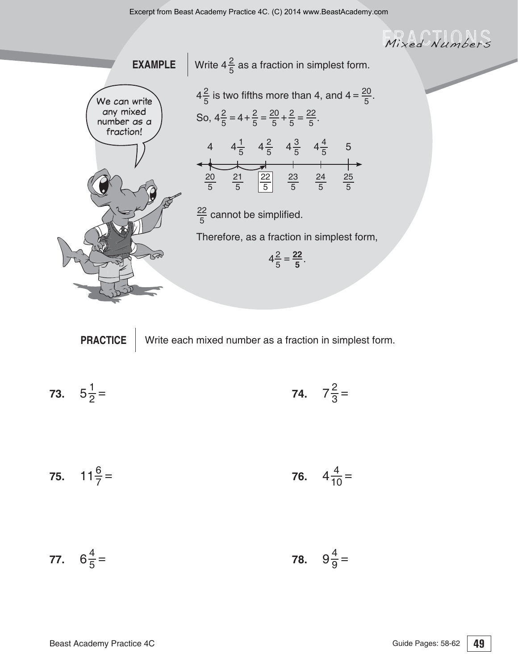Mixed Numbers



**PRACTICE** Write each mixed number as a fraction in simplest form.

**73.** 
$$
5\frac{1}{2} =
$$
 **74.**  $7\frac{2}{3} =$ 

**75.** 
$$
11\frac{6}{7}
$$
 = **76.**  $4\frac{4}{10}$  =

77. 
$$
6\frac{4}{5}
$$
 = 78.  $9\frac{4}{9}$  =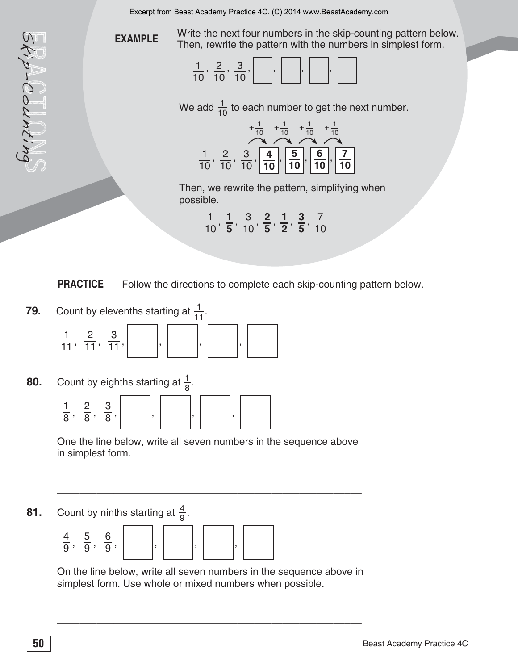Excerpt from Beast Academy Practice 4C. (C) 2014 www.BeastAcademy.com

**EXAMPLE** 

the next four numbers in the skip-counting pattern below. Then, rewrite the pattern with the numbers in simplest form.



We add  $\frac{1}{10}$  to each number to get the next number.



Then, we rewrite the pattern, simplifying when possible.

|                                                                                                                         | 1 1 3 2 1 3 7 |  |  |
|-------------------------------------------------------------------------------------------------------------------------|---------------|--|--|
| $\overline{10}$ , $\overline{5}$ , $\overline{10}$ , $\overline{5}$ , $\overline{2}$ , $\overline{5}$ , $\overline{10}$ |               |  |  |

**PRACTICE** | Follow the directions to complete each skip-counting pattern below.

**79.** Count by elevenths starting at  $\frac{1}{11}$ .



**80.** Count by eighths starting at  $\frac{1}{8}$ .



One the line below, write all seven numbers in the sequence above in simplest form.

\_\_\_\_\_\_\_\_\_\_\_\_\_\_\_\_\_\_\_\_\_\_\_\_\_\_\_\_\_\_\_\_\_\_\_\_\_\_\_\_\_\_\_\_\_\_\_\_\_\_\_\_\_\_

**81.** Count by ninths starting at  $\frac{4}{9}$ .



 On the line below, write all seven numbers in the sequence above in simplest form. Use whole or mixed numbers when possible.

\_\_\_\_\_\_\_\_\_\_\_\_\_\_\_\_\_\_\_\_\_\_\_\_\_\_\_\_\_\_\_\_\_\_\_\_\_\_\_\_\_\_\_\_\_\_\_\_\_\_\_\_\_\_